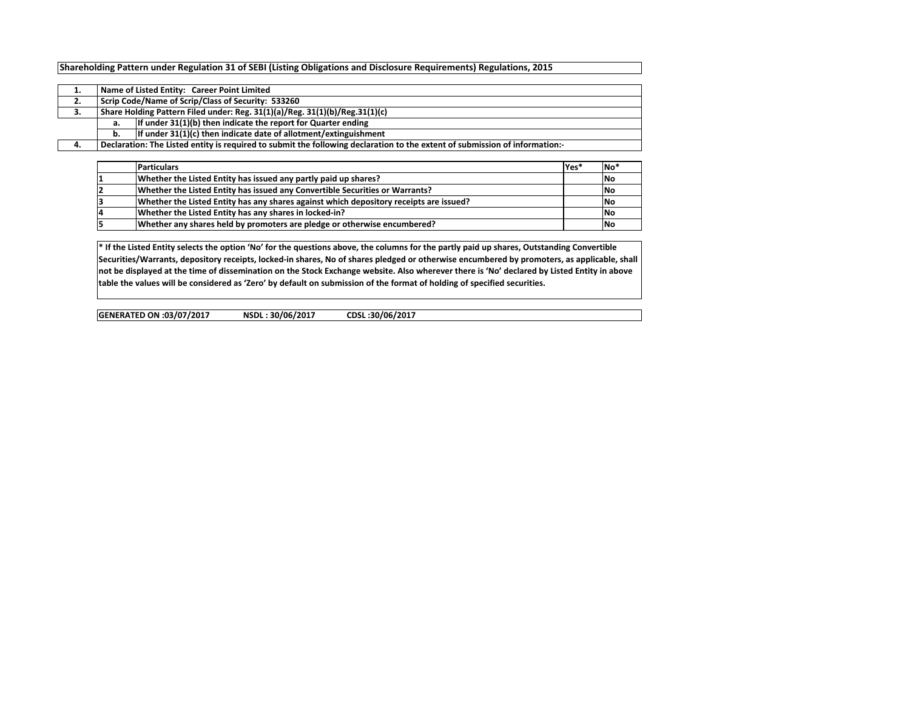## Shareholding Pattern under Regulation 31 of SEBI (Listing Obligations and Disclosure Requirements) Regulations, 2015

|    |    | Name of Listed Entity: Career Point Limited                                                                                |  |  |  |  |  |  |  |  |  |
|----|----|----------------------------------------------------------------------------------------------------------------------------|--|--|--|--|--|--|--|--|--|
| 2. |    | Scrip Code/Name of Scrip/Class of Security: 533260                                                                         |  |  |  |  |  |  |  |  |  |
| 3. |    | Share Holding Pattern Filed under: Reg. 31(1)(a)/Reg. 31(1)(b)/Reg.31(1)(c)                                                |  |  |  |  |  |  |  |  |  |
|    | а. | If under 31(1)(b) then indicate the report for Quarter ending                                                              |  |  |  |  |  |  |  |  |  |
|    | b. | If under 31(1)(c) then indicate date of allotment/extinguishment                                                           |  |  |  |  |  |  |  |  |  |
| 4. |    | Declaration: The Listed entity is required to submit the following declaration to the extent of submission of information: |  |  |  |  |  |  |  |  |  |

| <b>Particulars</b>                                                                     | Yes* | <b>No</b>  |
|----------------------------------------------------------------------------------------|------|------------|
| Whether the Listed Entity has issued any partly paid up shares?                        |      | <b>INo</b> |
| Whether the Listed Entity has issued any Convertible Securities or Warrants?           |      | <b>INo</b> |
| Whether the Listed Entity has any shares against which depository receipts are issued? |      | <b>INo</b> |
| Whether the Listed Entity has any shares in locked-in?                                 |      | <b>INo</b> |
| Whether any shares held by promoters are pledge or otherwise encumbered?               |      | No         |

\* If the Listed Entity selects the option 'No' for the questions above, the columns for the partly paid up shares, Outstanding Convertible Securities/Warrants, depository receipts, locked-in shares, No of shares pledged or otherwise encumbered by promoters, as applicable, shall not be displayed at the time of dissemination on the Stock Exchange website. Also wherever there is 'No' declared by Listed Entity in above table the values will be considered as 'Zero' by default on submission of the format of holding of specified securities.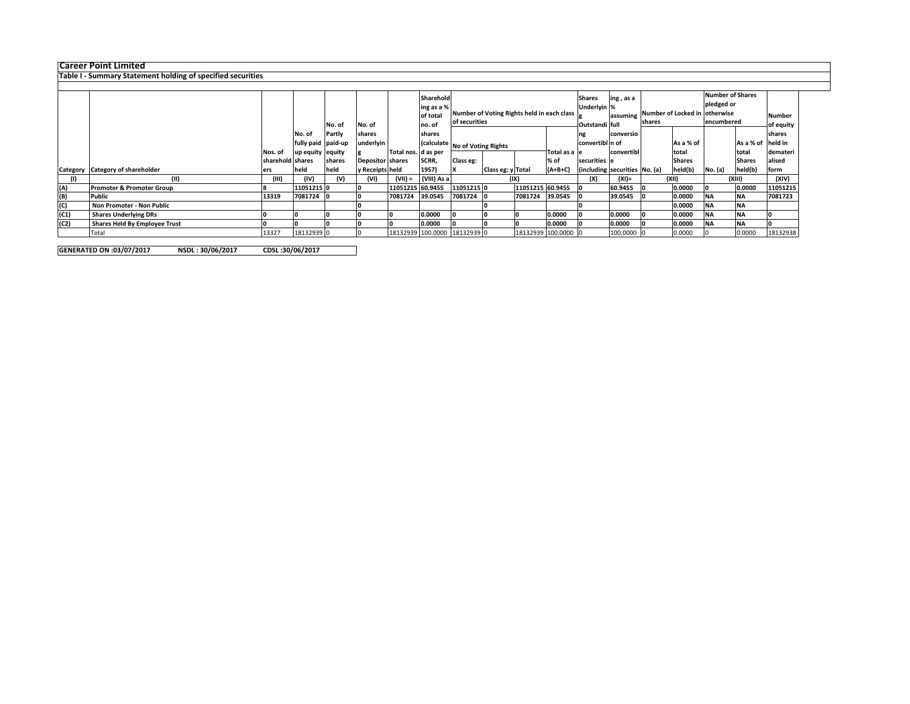Career Point Limited Table I - Summary Statement holding of specified securities

|      |                                      |                  |                    |        |                  |                     | Sharehold   |                                |                                            |                  | <b>Shares</b>       | ing, as a                     |            |                                         | <b>Number of Shares</b> |            |               |               |
|------|--------------------------------------|------------------|--------------------|--------|------------------|---------------------|-------------|--------------------------------|--------------------------------------------|------------------|---------------------|-------------------------------|------------|-----------------------------------------|-------------------------|------------|---------------|---------------|
|      |                                      |                  |                    |        |                  |                     | ing as a %  |                                |                                            |                  |                     | Underlyin %                   |            |                                         |                         | pledged or |               |               |
|      |                                      |                  |                    |        |                  |                     | of total    |                                | Number of Voting Rights held in each class |                  |                     |                               | assuming   | Number of Locked in otherwise<br>shares |                         |            |               | <b>Number</b> |
|      |                                      |                  |                    | No. of | No. of           |                     | no. of      | of securities                  |                                            |                  |                     | Outstandi full                |            |                                         |                         | encumbered |               | of equity     |
|      |                                      |                  |                    |        |                  |                     |             |                                |                                            |                  |                     |                               |            |                                         |                         |            |               |               |
|      |                                      |                  | No. of             | Partly | shares           |                     | shares      |                                |                                            | ng               | conversio           |                               |            |                                         |                         | shares     |               |               |
|      |                                      |                  | fully paid paid-up |        | underlyin        |                     |             | (calculate No of Voting Rights |                                            | convertibl n of  |                     |                               | As a % of  |                                         | As a % of held in       |            |               |               |
|      |                                      | Nos. of          | up equity equity   |        |                  | Total nos. d as per |             |                                |                                            |                  | Total as a le       |                               | convertibl |                                         | total                   |            | total         | demateri      |
|      |                                      | sharehold shares |                    | shares | Depositor shares |                     | SCRR,       | Class eg:                      |                                            |                  | % of                | securities le                 |            |                                         | <b>Shares</b>           |            | <b>Shares</b> | alised        |
|      | Category Category of shareholder     |                  | held               | held   | y Receipts held  |                     | 1957)       |                                | Class eg: y Total                          |                  | $(A+B+C)$           | (including securities No. (a) |            |                                         | held(b)                 | No. (a)    | held(b)       | form          |
|      | (11)                                 | (III)            | (IV)               | (V)    | (VI)             | $(VII) =$           | (VIII) As a |                                | (IX)                                       |                  |                     | (X)                           | (XI)=      |                                         | (XII)                   |            | (XIII)        | (XIV)         |
| (A)  | <b>Promoter &amp; Promoter Group</b> |                  | 11051215 0         |        |                  | 11051215 60.9455    |             | 11051215 0                     |                                            | 11051215 60.9455 |                     |                               | 60.9455    |                                         | 0.0000                  |            | 0.0000        | 11051215      |
| (B)  | Public                               | 13319            | 7081724            |        |                  | 7081724 39.0545     |             | 7081724                        |                                            | 7081724          | 39.0545             |                               | 39.0545    |                                         | 0.0000                  | <b>NA</b>  | <b>NA</b>     | 7081723       |
| (C)  | Non Promoter - Non Public            |                  |                    |        |                  |                     |             |                                |                                            |                  |                     |                               |            |                                         | 0.0000                  | <b>NA</b>  | <b>NA</b>     |               |
| (C1) | <b>Shares Underlying DRs</b>         |                  |                    |        |                  |                     | 0.0000      |                                |                                            |                  | 0.0000              |                               | 0.0000     |                                         | 0.0000                  | <b>NA</b>  | <b>NA</b>     |               |
| (C2) | Shares Held By Employee Trust        |                  |                    |        |                  |                     | 0.0000      |                                |                                            |                  | 0.0000              |                               | 0.0000     |                                         | 0.0000                  | <b>NA</b>  | <b>NA</b>     |               |
|      | Total                                | 13327            | 18132939 0         |        |                  |                     |             | 18132939 100.0000 18132939 0   |                                            |                  | 18132939 100.0000 0 |                               | 100.0000 0 |                                         | 0.0000                  |            | 0.0000        | 18132938      |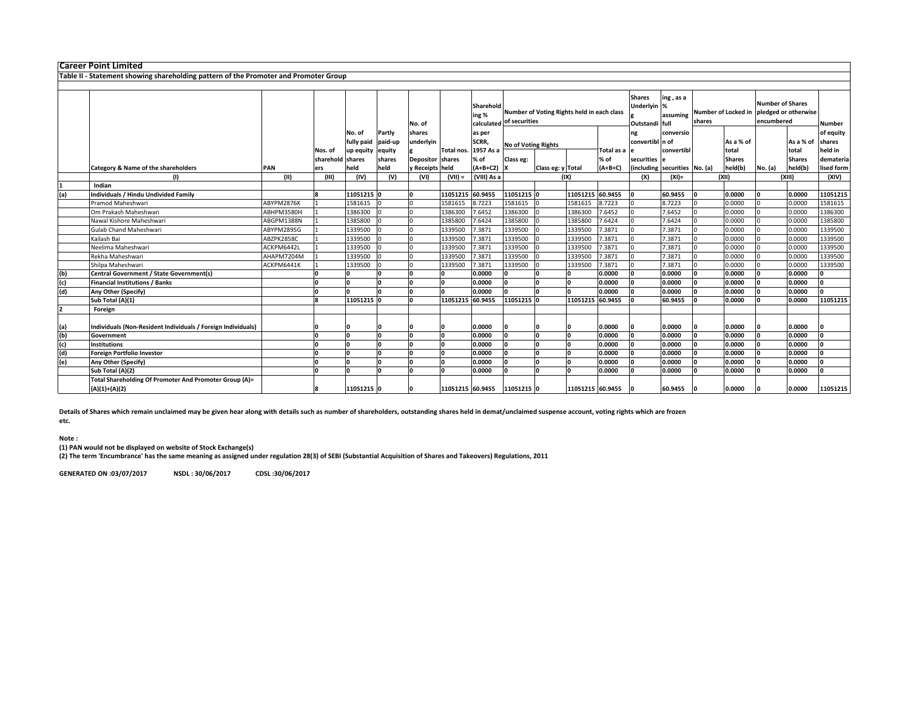| shares                                   | <b>Number of Shares</b><br>Number of Locked in pledged or otherwise<br>encumbered<br>Number |
|------------------------------------------|---------------------------------------------------------------------------------------------|
| As a % of                                | of equity<br>As a % of<br>shares                                                            |
|                                          | held in<br>total                                                                            |
| <b>Shares</b>                            | <b>Shares</b><br>demateria                                                                  |
| held(b)<br>(including securities No. (a) | held(b)<br>lised form<br>No. (a)                                                            |
| (XII)                                    | (XIV)<br>(XIII)                                                                             |
|                                          |                                                                                             |
| 0.0000                                   | 11051215<br>0.0000                                                                          |
| 0.0000                                   | 1581615<br>0.0000                                                                           |
| 0.0000                                   | 1386300<br>0.0000                                                                           |
| 0.0000                                   | 1385800<br>0.0000                                                                           |
| 0.0000                                   | 0.0000<br>1339500                                                                           |
| 0.0000                                   | 1339500<br>0.0000                                                                           |
| 0.0000                                   | 1339500<br>0.0000                                                                           |
| 0.0000                                   | 1339500<br>0.0000                                                                           |
| 0.0000                                   | 1339500<br>0.0000                                                                           |
|                                          | 0.0000                                                                                      |
|                                          | 0.0000                                                                                      |
| 0.0000                                   | 0.0000                                                                                      |
|                                          | 11051215<br>0.0000                                                                          |
|                                          |                                                                                             |
| 0.0000                                   | 0.0000                                                                                      |
| 0.0000                                   | 0.0000                                                                                      |
|                                          | 0.0000                                                                                      |
| 0.0000                                   | 0.0000                                                                                      |
| 0.0000                                   | 0.0000                                                                                      |
| 0.0000                                   | 0.0000                                                                                      |
| 0.0000                                   | 0.0000<br>11051215                                                                          |
|                                          | total<br>0.0000<br>0.0000<br>0.0000<br>0.0000                                               |

Details of Shares which remain unclaimed may be given hear along with details such as number of shareholders, outstanding shares held in demat/unclaimed suspense account, voting rights which are frozen etc.

## Note :

(1) PAN would not be displayed on website of Stock Exchange(s) (2) The term 'Encumbrance' has the same meaning as assigned under regulation 28(3) of SEBI (Substantial Acquisition of Shares and Takeovers) Regulations, 2011.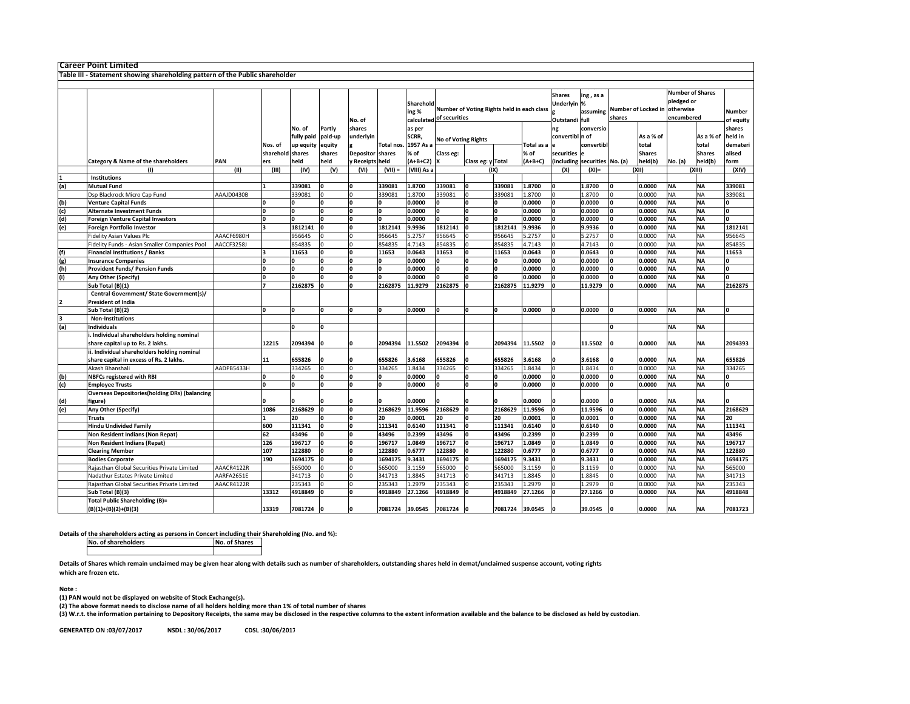|     | Career Point Limited                                                                   |            |                             |                      |                   |                     |                      |                                                |                                            |                   |                 |                           |                                                                         |                               |                               |                        |                                                                  |                        |                     |
|-----|----------------------------------------------------------------------------------------|------------|-----------------------------|----------------------|-------------------|---------------------|----------------------|------------------------------------------------|--------------------------------------------|-------------------|-----------------|---------------------------|-------------------------------------------------------------------------|-------------------------------|-------------------------------|------------------------|------------------------------------------------------------------|------------------------|---------------------|
|     | Table III - Statement showing shareholding pattern of the Public shareholder           |            |                             |                      |                   |                     |                      |                                                |                                            |                   |                 |                           |                                                                         |                               |                               |                        |                                                                  |                        |                     |
|     |                                                                                        |            |                             |                      |                   |                     |                      |                                                |                                            |                   |                 |                           |                                                                         |                               |                               |                        |                                                                  |                        |                     |
|     |                                                                                        |            |                             |                      |                   | No. of              |                      | Sharehold<br>ing %<br>calculated of securities | Number of Voting Rights held in each class |                   |                 |                           | <b>Shares</b><br>ing, as a<br>Underlyin %<br>assuming<br>Outstandi full |                               | Number of Locked in<br>shares |                        | <b>Number of Shares</b><br>pledged or<br>otherwise<br>encumbered |                        | Number<br>of equity |
|     |                                                                                        |            |                             | No. of<br>fully paid | Partly<br>paid-up | shares<br>underlyin |                      | as per<br>SCRR,                                | No of Voting Rights                        |                   |                 |                           | ng<br>convertibl n of                                                   | conversio                     |                               | As a % of              |                                                                  | As a % of              | shares<br>held in   |
|     |                                                                                        |            | Nos. of<br>sharehold shares | up equity            | equity<br>shares  | <b>Depositor</b>    | Total nos.<br>shares | 1957 As a<br>% of                              | Class eg:                                  |                   |                 | <b>Fotal as a</b><br>% of | securities                                                              | convertib                     |                               | total<br><b>Shares</b> |                                                                  | total<br><b>Shares</b> | demateri<br>alised  |
|     | Category & Name of the shareholders                                                    | PAN        | ers                         | held                 | held              | y Receipts          | held                 | $(A+B+C2)$                                     |                                            | Class eg: y Total |                 | $(A+B+C)$                 |                                                                         | (including securities No. (a) |                               | held(b)                | No. (a)                                                          | held(b)                | form                |
|     | (1)                                                                                    | (II)       | (III)                       | (IV)                 | (V)               | (VI)                | $(VII) =$            | (VIII) As a                                    |                                            |                   | (IX)            |                           | (X)                                                                     | $(XI) =$                      |                               | (XII)                  |                                                                  | (XIII)                 | (XIV)               |
|     | Institutions                                                                           |            |                             |                      |                   |                     |                      |                                                |                                            |                   |                 |                           |                                                                         |                               |                               |                        |                                                                  |                        |                     |
| (a) | <b>Mutual Fund</b>                                                                     |            |                             | 339081               |                   | ln.                 | 339081               | 1.8700                                         | 339081                                     | O                 | 339081          | 1.8700                    | I٥                                                                      | 1.8700                        |                               | 0.0000                 | <b>NA</b>                                                        | <b>NA</b>              | 339081              |
|     | Dsp Blackrock Micro Cap Fund                                                           | AAAJD0430B |                             | 339081               |                   |                     | 339081               | 1.8700                                         | 339081                                     |                   | 39081           | L.8700                    |                                                                         | 1.8700                        |                               | 0.0000                 | <b>NA</b>                                                        | NA                     | 339081              |
| (b) | <b>Venture Capital Funds</b>                                                           |            |                             | n                    |                   | I٥                  |                      | 0.0000                                         |                                            |                   |                 | 0.0000                    | 'n                                                                      | 0.0000                        |                               | 0.0000                 | <b>NA</b>                                                        | <b>NA</b>              |                     |
| (c) | <b>Alternate Investment Funds</b>                                                      |            |                             | I۵                   |                   | I٥                  |                      | 0.0000                                         |                                            |                   |                 | 0.0000                    |                                                                         | 0.0000                        |                               | 0.0000                 | <b>NA</b>                                                        | <b>NA</b>              |                     |
| (d) | <b>Foreign Venture Capital Investors</b>                                               |            |                             | O                    | U                 | I٥                  |                      | 0.0000                                         |                                            | <b>n</b>          |                 | 0.0000                    |                                                                         | 0.0000                        | O                             | 0.0000                 | <b>NA</b>                                                        | <b>NA</b>              | n                   |
| (e) | <b>Foreign Portfolio Investor</b>                                                      |            |                             | 1812141              |                   | I٥                  | 1812141              | 9.9936                                         | 1812141                                    |                   | 1812141         | 9.9936                    |                                                                         | 9.9936                        |                               | 0.0000                 | <b>NA</b>                                                        | ΝA                     | 1812141             |
|     | <b>Fidelity Asian Values Plc</b>                                                       | AAACF6980H |                             | 956645               |                   |                     | 956645               | 5.2757                                         | 956645                                     |                   | 956645          | .2757                     |                                                                         | 5.2757                        |                               | 0.0000                 | NA                                                               | NA                     | 956645              |
|     | Fidelity Funds - Asian Smaller Companies Pool                                          | AACCF3258J |                             | 854835               |                   | lo                  | 854835               | 4.7143                                         | 854835                                     |                   | 854835          | 4.7143                    |                                                                         | 4.7143                        |                               | 0.0000                 | <b>NA</b>                                                        | ΝA                     | 854835              |
| (f) | <b>Financial Institutions / Banks</b>                                                  |            |                             | 11653                |                   | I٥                  | 11653                | 0.0643                                         | 11653                                      | U                 | 11653           | 0.0643                    | I۵                                                                      | 0.0643                        | O                             | 0.0000                 | <b>NA</b>                                                        | <b>NA</b>              | 11653               |
| (g) | <b>Insurance Companies</b>                                                             |            |                             | n                    |                   | lo                  |                      | 0.0000                                         |                                            |                   |                 | 0.0000                    | I٥                                                                      | 0.0000                        |                               | 0.0000                 | <b>NA</b>                                                        | NA                     |                     |
| (h) | <b>Provident Funds/ Pension Funds</b>                                                  |            |                             | I۵                   |                   | I٥                  |                      | 0.0000                                         |                                            |                   |                 | 0.0000                    |                                                                         | 0.0000                        |                               | 0.0000                 | <b>NA</b>                                                        | <b>NA</b>              |                     |
| (i) | Any Other (Specify)                                                                    |            |                             | 'n                   |                   | I٥                  |                      | 0.0000                                         |                                            | <b>n</b>          |                 | 0.0000                    | I٥                                                                      | 0.0000                        | O                             | 0.0000                 | <b>NA</b>                                                        | <b>NA</b>              | n                   |
|     | Sub Total (B)(1)                                                                       |            |                             | 2162875              |                   | O                   | 2162875              | 11.9279                                        | 2162875                                    | I۵                | 2162875         | 11.9279                   |                                                                         | 11.9279                       |                               | 0.0000                 | <b>NA</b>                                                        | <b>NA</b>              | 2162875             |
|     | Central Government/ State Government(s)/                                               |            |                             |                      |                   |                     |                      |                                                |                                            |                   |                 |                           |                                                                         |                               |                               |                        |                                                                  |                        |                     |
| l2  | <b>President of India</b>                                                              |            |                             |                      |                   |                     |                      |                                                |                                            |                   |                 |                           |                                                                         |                               |                               |                        |                                                                  |                        |                     |
|     | Sub Total (B)(2)                                                                       |            |                             | I۵                   |                   | I٥                  |                      | 0.0000                                         |                                            | U                 |                 | 0.0000                    |                                                                         | 0.0000                        | I∩                            | 0.0000                 | <b>NA</b>                                                        | <b>NA</b>              | n                   |
|     | <b>Non-Institutions</b>                                                                |            |                             |                      |                   |                     |                      |                                                |                                            |                   |                 |                           |                                                                         |                               |                               |                        |                                                                  |                        |                     |
| (a) | <b>Individuals</b>                                                                     |            |                             | I۵                   |                   |                     |                      |                                                |                                            |                   |                 |                           |                                                                         |                               |                               |                        | <b>NA</b>                                                        | <b>NA</b>              |                     |
|     | i. Individual shareholders holding nominal<br>share capital up to Rs. 2 lakhs.         |            | 12215                       | 2094394              |                   |                     | 2094394              | 11.5502                                        | 2094394                                    |                   | 2094394         | 11.5502                   | ١o                                                                      | 11.5502                       |                               | 0.0000                 | <b>NA</b>                                                        | <b>NA</b>              | 2094393             |
|     | ii. Individual shareholders holding nominal<br>share capital in excess of Rs. 2 lakhs. |            | 11                          | 655826               |                   |                     | 655826               | 3.6168                                         | 655826                                     |                   | 655826          | 3.6168                    | ١o                                                                      | 3.6168                        |                               | 0.0000                 | <b>NA</b>                                                        | <b>NA</b>              | 655826              |
|     | Akash Bhanshali                                                                        | AADPB5433H |                             | 334265               |                   |                     | 334265               | 1.8434                                         | 334265                                     |                   | 334265          | 1.8434                    | <b>n</b>                                                                | 1.8434                        |                               | 0.0000                 | <b>NA</b>                                                        | NA                     | 334265              |
| (b) | <b>NBFCs registered with RBI</b>                                                       |            |                             | O                    |                   | I٥                  |                      | 0.0000                                         |                                            | 0                 |                 | 0.0000                    |                                                                         | 0.0000                        | I٥                            | 0.0000                 | <b>NA</b>                                                        | <b>NA</b>              | O                   |
| (c) | <b>Employee Trusts</b>                                                                 |            |                             | I۵                   |                   |                     |                      | 0.0000                                         |                                            |                   |                 | 0.0000                    |                                                                         | 0.0000                        |                               | 0.0000                 | <b>NA</b>                                                        | <b>NA</b>              | n                   |
|     | <b>Overseas Depositories(holding DRs) (balancing</b>                                   |            |                             |                      |                   |                     |                      |                                                |                                            |                   |                 |                           |                                                                         |                               |                               |                        |                                                                  |                        |                     |
| (d) | figure)                                                                                |            |                             |                      |                   |                     |                      | 0.0000                                         |                                            |                   |                 | 0.0000                    |                                                                         | 0.0000                        |                               | 0.0000                 | ΝA                                                               | ΝA                     |                     |
| (e) | Any Other (Specify)                                                                    |            | 1086                        | 2168629              |                   | O                   | 2168629              | 11.9596                                        | 2168629                                    |                   | 2168629         | 11.9596                   |                                                                         | 11.9596                       |                               | 0.0000                 | <b>NA</b>                                                        | <b>NA</b>              | 2168629             |
|     | <b>Trusts</b>                                                                          |            |                             | 20                   |                   |                     | 20                   | 0.0001                                         | 20                                         |                   | 20              | 0.0001                    |                                                                         | 0.0001                        |                               | 0.0000                 | <b>NA</b>                                                        | <b>ΝΑ</b>              | 20                  |
|     | <b>Hindu Undivided Family</b>                                                          |            | 600                         | 111341               |                   | O                   | 111341               | 0.6140                                         | 111341                                     | O                 | 111341          | 0.6140                    | I٥                                                                      | 0.6140                        | I٥                            | 0.0000                 | <b>NA</b>                                                        | <b>NA</b>              | 111341              |
|     | Non Resident Indians (Non Repat)                                                       |            | 62                          | 43496                |                   | I٥                  | 43496                | 0.2399                                         | 43496                                      | O                 | 43496           | 0.2399                    | 'n                                                                      | 0.2399                        | O                             | 0.0000                 | <b>NA</b>                                                        | <b>NA</b>              | 43496               |
|     | <b>Non Resident Indians (Repat)</b>                                                    |            | 126                         | 196717               |                   | lo                  | 196717               | 1.0849                                         | 196717                                     |                   | 196717          | 1.0849                    |                                                                         | 1.0849                        |                               | 0.0000                 | <b>NA</b>                                                        | NA                     | 196717              |
|     | <b>Clearing Member</b>                                                                 |            | 107                         | 122880               |                   | lo                  | 122880               | 0.6777                                         | 122880                                     |                   | 122880          | 0.6777                    | I۵                                                                      | 0.6777                        |                               | 0.0000                 | <b>NA</b>                                                        | <b>NA</b>              | 122880              |
|     | <b>Bodies Corporate</b>                                                                |            | 190                         | 1694175              |                   | I٥                  | 1694175              | 9.3431                                         | 1694175                                    | I٥                | 1694175         | 9.3431                    | I٥                                                                      | 9.3431                        | O                             | 0.0000                 | <b>NA</b>                                                        | <b>NA</b>              | 1694175             |
|     | Rajasthan Global Securities Private Limited                                            | AAACR4122R |                             | 565000               |                   |                     | 565000               | 3.1159                                         | 565000                                     |                   | 565000          | 3.1159                    |                                                                         | 3.1159                        |                               | 0.0000                 | <b>NA</b>                                                        | NΑ                     | 565000              |
|     | Nadathur Estates Private Limited                                                       | AARFA2651E |                             | 341713               |                   |                     | 341713               | 1.8845                                         | 341713                                     |                   | 341713          | 1.8845                    |                                                                         | 1.8845                        |                               | 0.0000                 | NA.                                                              | <b>NA</b>              | 341713              |
|     | Rajasthan Global Securities Private Limited                                            | AAACR4122R |                             | 235343               |                   |                     | 235343               | 1.2979                                         | 235343                                     |                   | 235343          | .2979                     |                                                                         | 1.2979                        |                               | 0.0000                 | <b>NA</b>                                                        | NA                     | 235343              |
|     | Sub Total (B)(3)                                                                       |            | 13312                       | 4918849              |                   | I٥                  | 4918849              | 27.1266                                        | 4918849                                    |                   | 4918849         | 27.1266                   |                                                                         | 27.1266                       |                               | 0.0000                 | ΝA                                                               | <b>NA</b>              | 4918848             |
|     | <b>Total Public Shareholding (B)=</b><br>$(B)(1)+(B)(2)+(B)(3)$                        |            | 13319                       | 7081724              |                   | O                   | 7081724              | 39.0545                                        | 7081724                                    |                   | 7081724 39.0545 |                           | I٥                                                                      | 39.0545                       |                               | 0.0000                 | <b>NA</b>                                                        | <b>NA</b>              | 7081723             |
|     |                                                                                        |            |                             |                      |                   |                     |                      |                                                |                                            |                   |                 |                           |                                                                         |                               |                               |                        |                                                                  |                        |                     |

Details of the shareholders acting as persons in Concert including their Shareholding (No. and %):

No. of shareholdersNo. of Shares

Details of Shares which remain unclaimed may be given hear along with details such as number of shareholders, outstanding shares held in demat/unclaimed suspense account, voting rights which are frozen etc.

Note :

(1) PAN would not be displayed on website of Stock Exchange(s).

(2) The above format needs to disclose name of all holders holding more than 1% of total number of shares

(3) W.r.t. the information pertaining to Depository Receipts, the same may be disclosed in the respective columns to the extent information available and the balance to be disclosed as held by custodian.